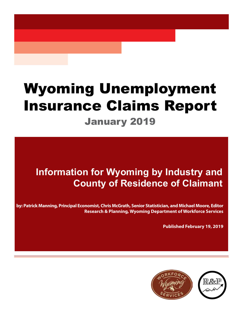# Wyoming Unemployment Insurance Claims Report January 2019

# **Information for Wyoming by Industry and County of Residence of Claimant**

**by: Patrick Manning, Principal Economist, Chris McGrath, Senior Statistician, and Michael Moore, Editor Research & Planning, Wyoming Department of Workforce Services**

**Published February 19, 2019**

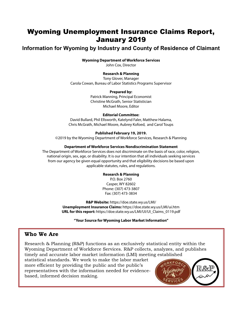## Wyoming Unemployment Insurance Claims Report, January 2019

## **Information for Wyoming by Industry and County of Residence of Claimant**

#### **Wyoming Department of Workforce Services**

John Cox, Director

#### **Research & Planning**

Tony Glover, Manager Carola Cowan, Bureau of Labor Statistics Programs Supervisor

#### **Prepared by:**

Patrick Manning, Principal Economist Christine McGrath, Senior Statistician Michael Moore, Editor

#### **Editorial Committee:**

David Bullard, Phil Ellsworth, Katelynd Faler, Matthew Halama, Chris McGrath, Michael Moore, Aubrey Kofoed, and Carol Toups

#### **Published February 19, 2019.**

©2019 by the Wyoming Department of Workforce Services, Research & Planning

#### **Department of Workforce Services Nondiscrimination Statement**

The Department of Workforce Services does not discriminate on the basis of race, color, religion, national origin, sex, age, or disability. It is our intention that all individuals seeking services from our agency be given equal opportunity and that eligibility decisions be based upon applicable statutes, rules, and regulations.

#### **Research & Planning**

P.O. Box 2760 Casper, WY 82602 Phone: (307) 473-3807 Fax: (307) 473-3834

**R&P Website:** https://doe.state.wy.us/LMI/ **Unemployment Insurance Claims:** https://doe.state.wy.us/LMI/ui.htm **URL for this report:** https://doe.state.wy.us/LMI/UI/UI\_Claims\_0119.pdf

**"Your Source for Wyoming Labor Market Information"**

#### **Who We Are**

Research & Planning (R&P) functions as an exclusively statistical entity within the Wyoming Department of Workforce Services. R&P collects, analyzes, and publishes timely and accurate labor market information (LMI) meeting established

statistical standards. We work to make the labor market more efficient by providing the public and the public's representatives with the information needed for evidencebased, informed decision making.

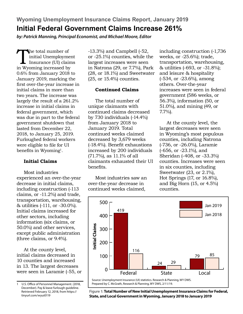**Wyoming Unemployment Insurance Claims Report, January 2019 Initial Federal Government Claims Increase 261%** 

*by: Patrick Manning, Principal Economist, and Michael Moore, Editor*

The total number of<br>
initial Unemploymer<br>
Insurance (UI) claim<br>
in Wyoming increased by initial Unemployment Insurance (UI) claims 0.6% from January 2018 to January 2019, marking the first over-the-year increase in initial claims in more than two years. The increase was largely the result of a 261.2% increase in initial claims in federal government, which was due in part to the federal government shutdown that lasted from December 22, 2018, to January 25, 2019. Furloughed federal workers were eligible to file for UI benefits in Wyoming<sup>1</sup>.

#### **Initial Claims**

Most industries experienced an over-the-year decrease in initial claims, including construction (-113 claims, or -11.2%) and trade, transportation, warehousing, & utilities (-111, or -30.0%). Initial claims increased for other sectors, including information (six claims, or 50.0%) and other services, except public administration (three claims, or 9.4%).

At the county level, initial claims decreased in 10 counties and increased in 13. The largest decreases were seen in Laramie (-55, or

U.S. Office of Personnel Management. (2018, December). Pay & leave furlough guideline. Retrieved February 12, 2018, from https:// tinyurl.com/wyui0119

-13.3%) and Campbell (-52, or -25.1%) counties, while the largest increases were seen in Natrona (29, or 7.7%), Park (28, or 18.1%) and Sweetwater (25, or 15.4%) counties.

#### **Continued Claims**

The total number of unique claimants with continued claims decreased by 730 individuals (-14.4%) from January 2018 to January 2019. Total continued weeks claimed decreased by 3,679 weeks (-18.4%). Benefit exhaustions increased by 200 individuals (71.7%), as 11.1% of all claimants exhausted their UI benefits.

Most industries saw an over-the-year decrease in continued weeks claimed,

including construction (-1,736 weeks, or -25.6%); trade, transportation, warehousing, & utilities (-693, or -31.8%); and leisure & hospitality (-534, or -23.6%), among others. Over-the-year increases were seen in federal government (586 weeks, or 56.3%), information (50, or 51.0%), and mining (49, or 7.7%).

At the county level, the largest decreases were seen in Wyoming's most populous counties, including Natrona (-736, or -26.0%), Laramie (-656, or -23.1%), and Sheridan (-408, or -33.3%) counties. Increases were seen in six counties, including Sweetwater (23, or 2.1%), Hot Springs (17, or 16.8%), and Big Horn (15, or 4.5%) counties.



**Figure 1: Total Number of New Initial Unemployment Insurance Claims for Federal, State, and Local Government in Wyoming, January 2018 to January 2019**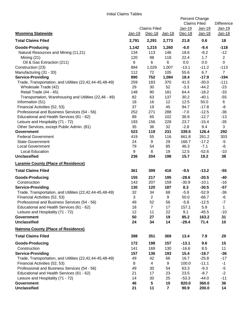|                                                                                  |               |                                 |                | Percent Change<br><b>Claims Filed</b> |                         | <b>Difference</b>       |
|----------------------------------------------------------------------------------|---------------|---------------------------------|----------------|---------------------------------------|-------------------------|-------------------------|
| <b>Wyoming Statewide</b>                                                         | <u>Jan-19</u> | <b>Claims Filed</b><br>$Dec-18$ | <u>Jan-18</u>  | Jan-19<br>$Dec-18$                    | Jan-19<br><u>Jan-18</u> | <u>Jan-19</u><br>Jan-18 |
| <b>Total Claims Filed</b>                                                        | 2,791         | 2,291                           | 2,773          | 21.8                                  | 0.6                     | 18                      |
| <b>Goods-Producing</b>                                                           | 1,142         | 1,215                           | 1,260          | $-6.0$                                | $-9.4$                  | $-118$                  |
| Natural Resources and Mining (11,21)                                             | 134           | 113                             | 146            | 18.6                                  | $-8.2$                  | $-12$                   |
| Mining $(21)$                                                                    | 120           | 98                              | 118            | 22.4                                  | 1.7                     | $\overline{2}$          |
| Oil & Gas Extraction (211)                                                       | 6             | 6                               | $\,6$          | 0.0                                   | 0.0                     | $\mathbf 0$             |
| Construction (23)                                                                | 894           | 1,029                           | 1,007          | $-13.1$                               | $-11.2$                 | $-113$                  |
| Manufacturing (31 - 33)                                                          | 112           | 72                              | 105            | 55.6                                  | 6.7                     | $\overline{7}$          |
| <b>Service-Providing</b>                                                         | 890           | 752                             | 1,084          | 18.4                                  | $-17.9$                 | $-194$                  |
| Trade, Transportation, and Utilities (22,42,44-45,48-49)                         | 259           | 183                             | 370            | 41.5                                  | $-30.0$                 | $-111$                  |
| Wholesale Trade (42)                                                             | 29            | 30                              | 52             | $-3.3$                                | $-44.2$                 | $-23$                   |
| Retail Trade (44 - 45)<br>Transportation, Warehousing and Utilities (22,48 - 49) | 148<br>82     | 90<br>63                        | 181<br>137     | 64.4<br>30.2                          | $-18.2$<br>$-40.1$      | $-33$<br>$-55$          |
| Information (51)                                                                 | 18            | 16                              | 12             | 12.5                                  | 50.0                    | 6                       |
| Financial Activities (52, 53)                                                    | 37            | 19                              | 45             | 94.7                                  | $-17.8$                 | -8                      |
| Professional and Business Services (54 - 56)                                     | 252           | 271                             | 288            | $-7.0$                                | $-12.5$                 | $-36$                   |
| Educational and Health Services (61 - 62)                                        | 89            | 65                              | 102            | 36.9                                  | $-12.7$                 | $-13$                   |
| Leisure and Hospitality (71 - 72)                                                | 193           | 156                             | 228            | 23.7                                  | $-15.4$                 | $-35$                   |
| Other Services, except Public Admin. (81)                                        | 35            | 36                              | 32             | $-2.8$                                | 9.4                     | 3                       |
| <b>Government</b>                                                                | 523           | 119                             | 231            | 339.5                                 | 126.4                   | 292                     |
| <b>Federal Government</b>                                                        | 419           | 55                              | 116            | 661.8                                 | 261.2                   | 303                     |
| <b>State Government</b>                                                          | 24            | 9                               | 29             | 166.7                                 | $-17.2$                 | $-5$                    |
| <b>Local Government</b>                                                          | 79            | 54                              | 85             | 46.3                                  | $-7.1$                  | -6                      |
| <b>Local Education</b>                                                           | 9             | 8                               | 19             | 12.5                                  | $-52.6$                 | $-10$                   |
| <b>Unclassified</b>                                                              | 236           | 204                             | 198            | 15.7                                  | 19.2                    | 38                      |
| <b>Laramie County (Place of Residence)</b>                                       |               |                                 |                |                                       |                         |                         |
| <b>Total Claims Filed</b>                                                        | 361           | 399                             | 416            | $-9.5$                                | $-13.2$                 | $-55$                   |
| <b>Goods-Producing</b>                                                           | 155           | 217                             | 195            | $-28.6$                               | $-20.5$                 | $-40$                   |
| Construction                                                                     | 143           | 207                             | 159            | $-30.9$                               | $-10.1$                 | $-16$                   |
| <b>Service-Providing</b>                                                         | 130           | 120                             | 187            | 8.3                                   | $-30.5$                 | $-57$                   |
| Trade, Transportation, and Utilities (22,42,44-45,48-49)                         | 32            | 34                              | 68             | $-5.9$                                | $-52.9$                 | $-36$                   |
| Financial Activities (52, 53)                                                    | 3             | $\mathbf{2}$                    | 9              | 50.0                                  | $-66.7$                 | -6                      |
| Professional and Business Services (54 - 56)                                     | 49            | 52                              | 56             | $-5.8$                                | $-12.5$                 | $-7$                    |
| Educational and Health Services (61 - 62)                                        | 18            | $\overline{7}$                  | 17             | 157.1                                 | 5.9                     | $\mathbf{1}$            |
| Leisure and Hospitality (71 - 72)                                                | 12            | 11                              | 22             | 9.1                                   | $-45.5$                 | $-10$                   |
| <b>Government</b>                                                                | 50            | 27                              | 19             | 85.2                                  | 163.2                   | 31                      |
| <b>Unclassified</b>                                                              | 24            | 34                              | 14             | $-29.4$                               | 71.4                    | 10                      |
| <b>Natrona County (Place of Residence)</b>                                       |               |                                 |                |                                       |                         |                         |
| <b>Total Claims Filed</b>                                                        | 398           | 351                             | 369            | 13.4                                  | 7.9                     | 29                      |
| <b>Goods-Producing</b>                                                           | 172           | 198                             | 157            | $-13.1$                               | 9.6                     | 15                      |
| Construction                                                                     | 141           | 169                             | 130            | $-16.6$                               | 8.5                     | 11                      |
| <b>Service-Providing</b>                                                         | 157           | 136                             | 193            | 15.4                                  | $-18.7$                 | $-36$                   |
| Trade, Transportation, and Utilities (22,42,44-45,48-49)                         | 49            | 42                              | 66             | 16.7                                  | $-25.8$                 | $-17$                   |
| Financial Activities (52, 53)<br>Professional and Business Services (54 - 56)    | 8<br>49       | 4<br>30                         | 9              | 100.0<br>63.3                         | $-11.1$<br>$-9.3$       | $-1$<br>$-5$            |
| Educational and Health Services (61 - 62)                                        | 21            | 17                              | 54<br>23       | 23.5                                  | $-8.7$                  | $-2$                    |
| Leisure and Hospitality (71 - 72)                                                | 14            | 30                              | 25             | $-53.3$                               | $-44.0$                 | $-11$                   |
| <b>Government</b>                                                                | 46            | $5\phantom{.0}$                 | 10             | 820.0                                 | 360.0                   | 36                      |
| <b>Unclassified</b>                                                              | 21            | 11                              | $\overline{7}$ | 90.9                                  | 200.0                   | 14                      |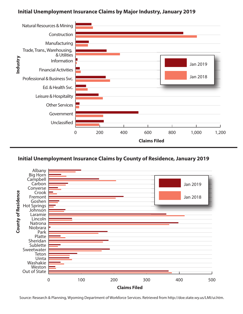### **Initial Unemployment Insurance Claims by Major Industry, January 2019**



#### **Initial Unemployment Insurance Claims by County of Residence, January 2019**



Source: Research & Planning, Wyoming Department of Workforce Services. Retrieved from http://doe.state.wy.us/LMI/ui.htm.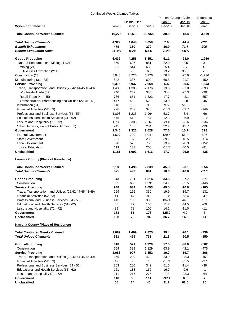#### Continued Weeks Claimed Tables

|                                                          |        |                        |        | Percent Change Claims |          | <b>Difference</b> |
|----------------------------------------------------------|--------|------------------------|--------|-----------------------|----------|-------------------|
| <b>Wyoming Statewide</b>                                 |        | Claims Filed<br>Dec-18 |        | Jan-19                | $Jan-19$ | Jan-19<br>Jan-18  |
|                                                          | Jan-19 |                        | Jan-18 | Dec-18                | Jan-18   |                   |
| <b>Total Continued Weeks Claimed</b>                     | 16,276 | 12,519                 | 19,955 | 30.0                  | $-18.4$  | $-3,679$          |
| <b>Total Unique Claimants</b>                            | 4,329  | 4,044                  | 5,059  | 7.0                   | $-14.4$  | -730              |
| <b>Benefit Exhaustions</b>                               | 479    | 350                    | 279    | 36.9                  | 71.7     | 200               |
| <b>Benefit Exhaustion Rates</b>                          | 11.1%  | 8.7%                   | 5.5%   | 2.4%                  | 5.5%     |                   |
| <b>Goods-Producing</b>                                   | 6,432  | 4,256                  | 8,351  | 51.1                  | $-23.0$  | -1,919            |
| Natural Resources and Mining (11,21)                     | 850    | 697                    | 881    | 22.0                  | $-3.5$   | -31               |
| Mining $(21)$                                            | 682    | 544                    | 633    | 25.4                  | 7.7      | 49                |
| Oil & Gas Extraction (211)                               | 86     | 76                     | 63     | 13.2                  | 36.5     | 23                |
| Construction (23)                                        | 5,040  | 3,220                  | 6,776  | 56.5                  | $-25.6$  | $-1,736$          |
| Manufacturing (31 - 33)                                  | 542    | 337                    | 692    | 60.8                  | $-21.7$  | $-150$            |
| <b>Service-Providing</b>                                 | 6,315  | 5,937                  | 7,958  | 6.4                   | $-20.6$  | $-1,643$          |
| Trade, Transportation, and Utilities (22,42,44-45,48-49) | 1,483  | 1,305                  | 2,176  | 13.6                  | $-31.8$  | $-693$            |
| Wholesale Trade (42)                                     | 240    | 232                    | 330    | 3.4                   | $-27.3$  | -90               |
| Retail Trade (44 - 45)                                   | 766    | 651                    | 1,323  | 17.7                  | $-42.1$  | $-557$            |
| Transportation, Warehousing and Utilities (22,48 - 49)   | 477    | 422                    | 523    | 13.0                  | $-8.8$   | -46               |
| Information (51)                                         | 148    | 135                    | 98     | 9.6                   | 51.0     | 50                |
| Financial Activities (52, 53)                            | 226    | 252                    | 375    | $-10.3$               | $-39.7$  | $-149$            |
| Professional and Business Services (54 - 56)             | 1,898  | 1,235                  | 1,964  | 53.7                  | $-3.4$   | -66               |
| Educational and Health Services (61 - 62)                | 575    | 512                    | 787    | 12.3                  | $-26.9$  | $-212$            |
| Leisure and Hospitality (71 - 72)                        | 1,733  | 2,306                  | 2,267  | $-24.8$               | $-23.6$  | $-534$            |
| Other Services, except Public Admin. (81)                | 245    | 185                    | 284    | 32.4                  | $-13.7$  | $-39$             |
| Government                                               | 2,346  | 1,321                  | 2,028  | 77.6                  | 15.7     | 318               |
| <b>Federal Government</b>                                | 1,627  | 709                    | 1,041  | 129.5                 | 56.3     | 586               |
| <b>State Government</b>                                  | 121    | 87                     | 235    | 39.1                  | $-48.5$  | $-114$            |
| Local Government                                         | 598    | 525                    | 750    | 13.9                  | $-20.3$  | $-152$            |
| Local Education                                          | 119    | 133                    | 200    | $-10.5$               | $-40.5$  | $-81$             |
| <b>Unclassified</b>                                      | 1,181  | 1,003                  | 1,616  | 17.7                  | $-26.9$  | -435              |
| <b>Laramie County (Place of Residence)</b>               |        |                        |        |                       |          |                   |
| <b>Total Continued Weeks Claimed</b>                     | 2,183  | 1,496                  | 2,839  | 45.9                  | $-23.1$  | -656              |
| <b>Total Unique Claimants</b>                            | 575    | 493                    | 691    | 16.6                  | $-16.8$  | -116              |
| Goods-Producing                                          | 943    | 701                    | 1,514  | 34.5                  | $-37.7$  | -571              |
| Construction                                             | 885    | 660                    | 1,331  | 34.1                  | $-33.5$  | -446              |
| <b>Service-Providing</b>                                 | 948    | 634                    | 1,053  | 49.5                  | $-10.0$  | -105              |
| Trade, Transportation, and Utilities (22,42,44-45,48-49) | 199    | 166                    | 330    | 19.9                  | $-39.7$  | $-131$            |
| Financial Activities (52, 53)                            | 41     | 47                     | 88     | $-12.8$               | $-53.4$  | -47               |
| Professional and Business Services (54 - 56)             | 443    | 189                    | 306    | 134.4                 | 44.8     | 137               |
| Educational and Health Services (61 - 62)                | 86     | 77                     | 155    | 11.7                  | $-44.5$  | $-69$             |
| Leisure and Hospitality (71 - 72)                        | 89     | 78                     | 100    | 14.1                  | $-11.0$  | $-11$             |
| Government                                               | 183    | 81                     | 176    | 125.9                 | 4.0      | $\overline{7}$    |
| Unclassified                                             | 108    | 79                     | 94     | 36.7                  | 14.9     | 14                |
| <b>Natrona County (Place of Residence)</b>               |        |                        |        |                       |          |                   |
| <b>Total Continued Weeks Claimed</b>                     | 2,089  | 1,499                  | 2,825  | 39.4                  | $-26.1$  | -736              |
| <b>Total Unique Claimants</b>                            | 581    | 479                    | 731    | 21.3                  | $-20.5$  | $-150$            |
| Goods-Producing                                          | 818    | 521                    | 1,320  | 57.0                  | $-38.0$  | -502              |
| Construction                                             | 654    | 399                    | 1,129  | 63.9                  | $-42.1$  | $-475$            |
| <b>Service-Providing</b>                                 | 1,086  | 907                    | 1,352  | 19.7                  | $-19.7$  | -266              |
| Trade, Transportation, and Utilities (22,42,44-45,48-49) | 259    | 209                    | 420    | 23.9                  | $-38.3$  | -161              |
| Financial Activities (52, 53)                            | 49     | 55                     | 76     | $-10.9$               | $-35.5$  | -27               |
| Professional and Business Services (54 - 56)             | 303    | 200                    | 342    | 51.5                  | $-11.4$  | $-39$             |
| Educational and Health Services (61 - 62)                | 161    | 138                    | 162    | 16.7                  | $-0.6$   | $-1$              |
| Leisure and Hospitality (71 - 72)                        | 211    | 217                    | 275    | $-2.8$                | $-23.3$  | -64               |
| Government                                               | 118    | 35                     | 111    | 237.1                 | 6.3      | 7                 |
| <b>Unclassified</b>                                      | 65     | 34                     | 40     | 91.2                  | 62.5     | 25                |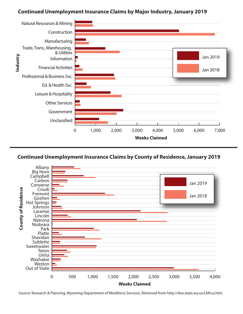### **Continued Unemployment Insurance Claims by Major Industry, January 2019**





Source: Research & Planning, Wyoming Department of Workforce Services. Retrieved from http://doe.state.wy.us/LMI/ui.htm.